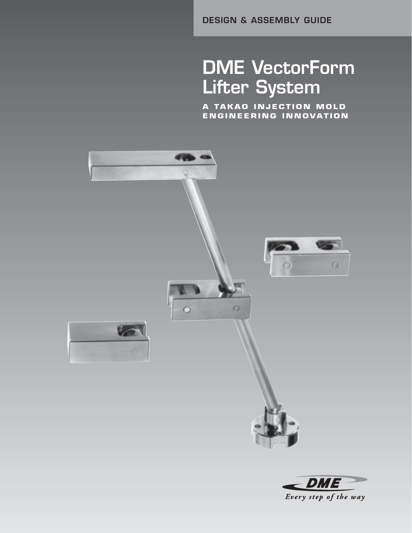**DESIGN & ASSEMBLY GUIDE**

# **DME VectorForm Lifter System**

**A TAKAO INJECTION MOLD ENGINEERING INNOVATION**



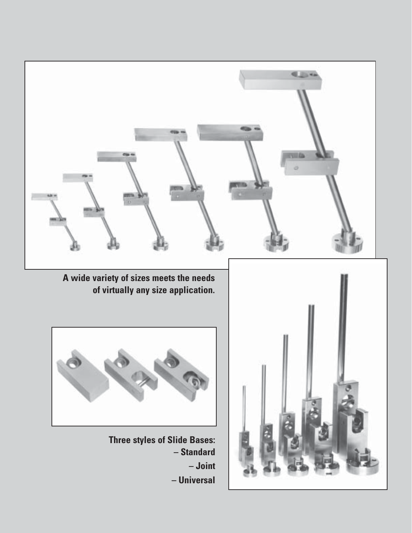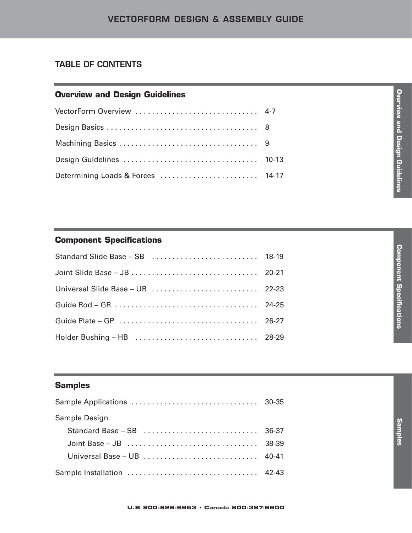# **TABLE OF CONTENTS**

# **Overview and Design Guidelines**

| VectorForm Overview  4-7          |  |
|-----------------------------------|--|
|                                   |  |
|                                   |  |
|                                   |  |
| Determining Loads & Forces  14-17 |  |

# **Component Specifications**

# **Samples**

| Sample Design |  |
|---------------|--|
|               |  |
|               |  |
|               |  |
|               |  |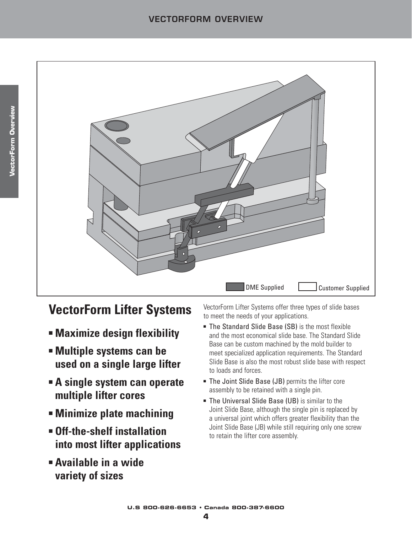

# **VectorForm Lifter Systems**

- **Maximize design flexibility**
- **Multiple systems can be used on a single large lifter**
- **A single system can operate multiple lifter cores**
- **Minimize plate machining**
- **Off-the-shelf installation into most lifter applications**
- **Available in a wide variety of sizes**

VectorForm Lifter Systems offer three types of slide bases to meet the needs of your applications.

- The Standard Slide Base (SB) is the most flexible and the most economical slide base. The Standard Slide Base can be custom machined by the mold builder to meet specialized application requirements. The Standard Slide Base is also the most robust slide base with respect to loads and forces.
- The Joint Slide Base (JB) permits the lifter core assembly to be retained with a single pin.
- The Universal Slide Base (UB) is similar to the Joint Slide Base, although the single pin is replaced by a universal joint which offers greater flexibility than the Joint Slide Base (JB) while still requiring only one screw to retain the lifter core assembly.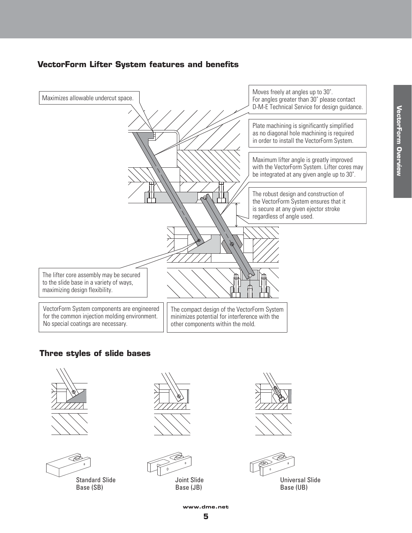# **VectorForm Lifter System features and benefits**







Standard Slide Base (SB)





Joint Slide Base (JB)





Universal Slide Base (UB)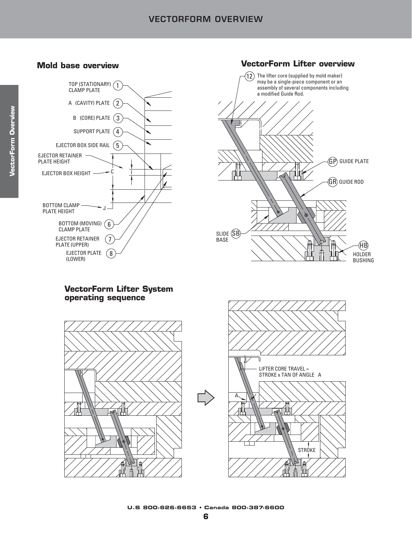# **VECTORFORM OVERVIEW**



# **Mold base overview VectorForm Lifter overview**



### **VectorForm Lifter System operating sequence**



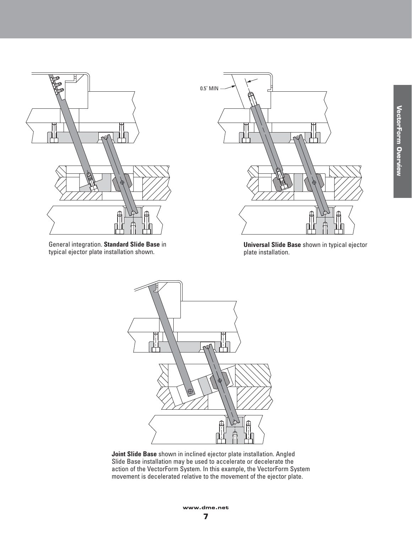

General integration. **Standard Slide Base** in typical ejector plate installation shown.



**Universal Slide Base** shown in typical ejector plate installation.



**Joint Slide Base** shown in inclined ejector plate installation. Angled Slide Base installation may be used to accelerate or decelerate the action of the VectorForm System. In this example, the VectorForm System movement is decelerated relative to the movement of the ejector plate.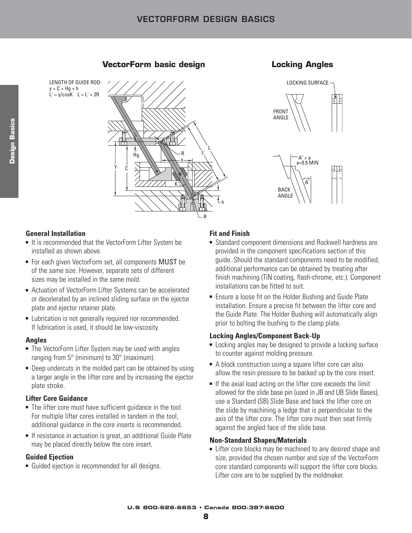**VectorForm basic design Locking Angles**

LENGTH OF GUIDE ROD:  $y = C + Hg + h$  $L' = y/cosK$   $L = L' + 2R$ 







# **General Installation**

- It is recommended that the VectorForm Lifter System be installed as shown above.
- For each given VectorForm set, all components MUST be of the same size. However, separate sets of different sizes may be installed in the same mold.
- Actuation of VectorForm Lifter Systems can be accelerated or decelerated by an inclined sliding surface on the ejector plate and ejector retainer plate.
- Lubrication is not generally required nor recommended. If lubrication is used, it should be low-viscosity.

### **Angles**

- The VectorForm Lifter System may be used with angles ranging from 5° (minimum) to 30° (maximum).
- Deep undercuts in the molded part can be obtained by using a larger angle in the lifter core and by increasing the ejector plate stroke.

### **Lifter Core Guidance**

- The lifter core must have sufficient guidance in the tool. For multiple lifter cores installed in tandem in the tool, additional guidance in the core inserts is recommended.
- If resistance in actuation is great, an additional Guide Plate may be placed directly below the core insert.

### **Guided Ejection**

■ Guided ejection is recommended for all designs.

# **Fit and Finish**

- Standard component dimensions and Rockwell hardness are provided in the component specifications section of this guide. Should the standard components need to be modified, additional performance can be obtained by treating after finish machining (TiN coating, flash-chrome, etc.). Component installations can be fitted to suit.
- Ensure a loose fit on the Holder Bushing and Guide Plate installation. Ensure a precise fit between the lifter core and the Guide Plate. The Holder Bushing will automatically align prior to bolting the bushing to the clamp plate.

### **Locking Angles/Component Back-Up**

- Locking angles may be designed to provide a locking surface to counter against molding pressure.
- A block construction using a square lifter core can also allow the resin pressure to be backed up by the core insert.
- If the axial load acting on the lifter core exceeds the limit allowed for the slide base pin (used in JB and UB Slide Bases), use a Standard (SB) Slide Base and back the lifter core on the slide by machining a ledge that is perpendicular to the axis of the lifter core. The lifter core must then seat firmly against the angled face of the slide base.

# **Non-Standard Shapes/Materials**

■ Lifter core blocks may be machined to any desired shape and size, provided the chosen number and size of the VectorForm core standard components will support the lifter core blocks. Lifter core are to be supplied by the moldmaker.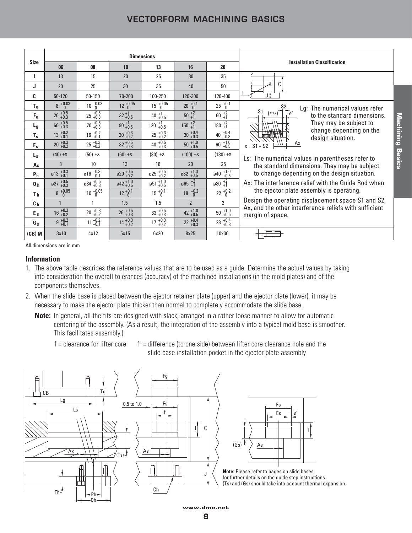# **VECTORFORM MACHINING BASICS**

|                  |                                   |                                                 |                                 | <b>Dimensions</b>               |                                   |                                 |                                                                                                              |
|------------------|-----------------------------------|-------------------------------------------------|---------------------------------|---------------------------------|-----------------------------------|---------------------------------|--------------------------------------------------------------------------------------------------------------|
| <b>Size</b>      | 06                                | 08                                              | 10                              | 13                              | 16                                | 20                              | <b>Installation Classification</b>                                                                           |
|                  | 13                                | 15                                              | 20                              | 25                              | 30                                | 35                              |                                                                                                              |
| J                | 20                                | 25                                              | 30                              | 35                              | 40                                | 50                              | C                                                                                                            |
| C.               | $50 - 120$                        | 50-150                                          | 70-200                          | 100-250                         | 120-300                           | 120-400                         |                                                                                                              |
| $T_g$            | $8 + 0.03$                        | $10^{+0.03}_{-0}$                               | $12 + 0.05$                     | $15^{+0.05}_{0}$                | $20^{+0.1}_{-0}$                  | $^{+0.1}_{0}$<br>25             | S2<br>Lg: The numerical values refer                                                                         |
| $F_{g}$          | $20^{+0.5}_{+0.3}$                | $25\begin{array}{l}\n+0.5 \\ +0.3\n\end{array}$ | $32^{+1}_{+0.5}$                | 40 $^{+1}_{+0.5}$               | $50^{+2}_{+1}$                    | $60^{+2}_{+1}$                  | S <sub>1</sub><br>$e^{\prime}$<br>$(***)$<br>to the standard dimensions.                                     |
| $L_{g}$          | $60^{+0.5}_{+0.3}$                | $70^{+0.5}_{+0.3}$                              | $90 + 1 + 0.5$                  | $120^{+1}_{+0.5}$               | $150^{+2}_{+1}$                   | $180^{+2}_{+1}$                 | <u>Machining</u><br>They may be subject to                                                                   |
| $T_{\rm s}$      | $+0.2$<br>+0.1<br>13              | $16^{+0.2}_{+0.1}$                              | $20 + 0.3 + 0.2$                | $25 + 0.3 + 0.2$                | $30^{+0.4}_{+0.3}$                | 40 $^{+0.4}_{+0.3}$             | change depending on the<br>design situation.                                                                 |
| $F_s$            | $20 + 0.3 + 0.2$                  | $25 + 0.3 + 0.2$                                | $32^{+0.5}_{+0.3}$              | 40 $^{+0.5}_{+0.3}$             | $50^{+1.0}_{+0.5}$                | $60^{+1.0}_{+0.5}$              | Ax<br>$x = S1 + S2$                                                                                          |
| $L_{\rm S}$      | $(40) +x$                         | $(50) +x$                                       | $(60) +x$                       | $(80) +x$                       | $(100) +x$                        | $(130) +x$                      | Basics<br>Ls: The numerical values in parentheses refer to                                                   |
| $A_{S}$          | 8                                 | 10                                              | 13                              | 16                              | 20                                | 25                              | the standard dimensions. They may be subject                                                                 |
| P <sub>h</sub>   | $\varnothing$ 13 $^{+0.3}_{+0.1}$ | $\emptyset$ 16 $^{+0.3}_{+0.1}$                 | $\emptyset$ 20 $^{+0.5}_{+0.2}$ | $\emptyset$ 25 $^{+0.5}_{+0.2}$ | $\varnothing$ 32 $^{+1.0}_{+0.5}$ | $\emptyset$ 40 $^{+1.0}_{+0.5}$ | to change depending on the design situation.                                                                 |
| $\mathbf{0}_{h}$ | $\varnothing$ 27 $^{+0.5}_{+0.3}$ | $\mathfrak{g}34$ $^{+0.5}_{+0.3}$               | $\emptyset$ 42 + 1.0            | $\emptyset$ 51 + 1.0            | $\emptyset$ 65 $^{+2}_{+1}$       | $\emptyset 80^{+2}_{+1}$        | Ax: The interference relief with the Guide Rod when                                                          |
| Τ <sub>h</sub>   | $8 + 0.05$                        | $10^{+0.05}_{0}$                                | $12^{+0.1}_{-0}$                | $15 \frac{+0.1}{0}$             | $18^{+0.2}_{-0}$                  | $22^{+0.2}_{-0}$                | the ejector plate assembly is operating.                                                                     |
| c <sub>h</sub>   |                                   |                                                 | 1.5                             | 1.5                             | $\overline{2}$                    | $\overline{2}$                  | Design the operating displacement space S1 and S2,<br>Ax, and the other interference reliefs with sufficient |
| $E_{s}$          | $16^{+0.3}_{+0.2}$                | $20 + 0.3 + 0.2$                                | $26^{+0.5}_{+0.3}$              | $33^{+0.5}_{+0.3}$              | 42 $^{+1.0}_{+0.5}$               | $^{+1.0}_{+0.5}$<br>$50\,$      | margin of space.                                                                                             |
| G <sub>s</sub>   | $9 + 0.2 + 0.1$                   | $11^{+0.2}_{+0.1}$                              | $14^{+0.3}_{+0.2}$              | $17^{+0.3}_{+0.2}$              | $22^{+0.4}_{+0.3}$                | $28$ $\substack{+0.4 \\ +0.3}$  |                                                                                                              |
| $(CB)$ M         | 3x10                              | 4x12                                            | 5x15                            | 6x20                            | 8x25                              | 10x30                           |                                                                                                              |

All dimensions are in mm

#### **Information**

- 1. The above table describes the reference values that are to be used as a guide. Determine the actual values by taking into consideration the overall tolerances (accuracy) of the machined installations (in the mold plates) and of the components themselves.
- 2. When the slide base is placed between the ejector retainer plate (upper) and the ejector plate (lower), it may be necessary to make the ejector plate thicker than normal to completely accommodate the slide base.
	- **Note:** In general, all the fits are designed with slack, arranged in a rather loose manner to allow for automatic centering of the assembly. (As a result, the integration of the assembly into a typical mold base is smoother. This facilitates assembly.)
		-

 $f =$  clearance for lifter core  $f' =$  difference (to one side) between lifter core clearance hole and the slide base installation pocket in the ejector plate assembly





**Note:** Please refer to pages on slide bases for further details on the guide step instructions. (Ts) and (Gs) should take into account thermal expansion.

**www.dme.net 9**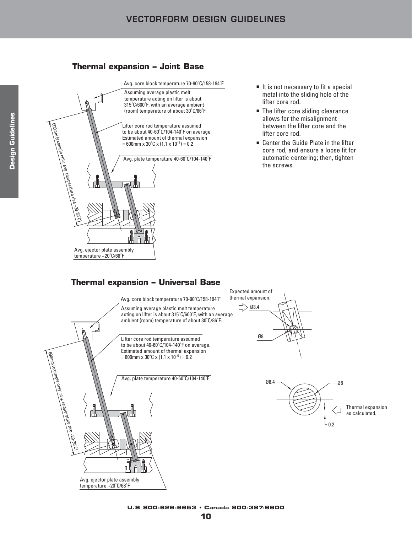### **Thermal expansion – Joint Base**



- It is not necessary to fit a special metal into the sliding hole of the lifter core rod.
- The lifter core sliding clearance allows for the misalignment between the lifter core and the lifter core rod.
- Center the Guide Plate in the lifter core rod, and ensure a loose fit for automatic centering; then, tighten the screws.

# **Thermal expansion – Universal Base**

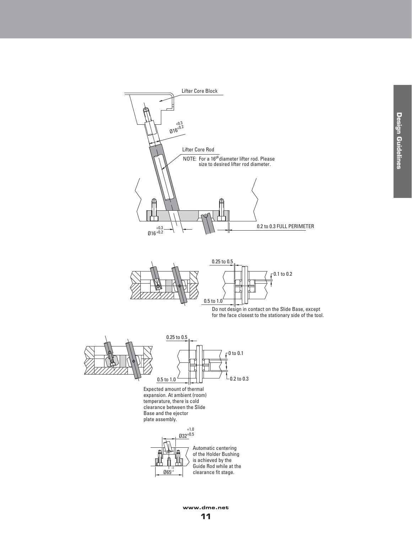

**www.dme.net**

**11**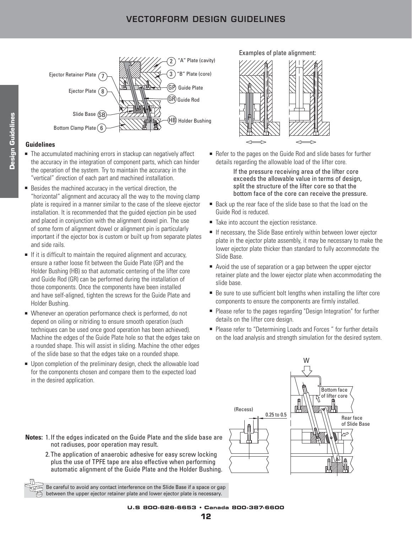# **VECTORFORM DESIGN GUIDELINES**



#### **Guidelines**

- The accumulated machining errors in stackup can negatively affect the accuracy in the integration of component parts, which can hinder the operation of the system. Try to maintain the accuracy in the "vertical" direction of each part and machined installation.
- Besides the machined accuracy in the vertical direction, the "horizontal" alignment and accuracy all the way to the moving clamp plate is required in a manner similar to the case of the sleeve ejector installation. It is recommended that the guided ejection pin be used and placed in conjunction with the alignment dowel pin. The use of some form of alignment dowel or alignment pin is particularly important if the ejector box is custom or built up from separate plates and side rails.
- If it is difficult to maintain the required alignment and accuracy, ensure a rather loose fit between the Guide Plate (GP) and the Holder Bushing (HB) so that automatic centering of the lifter core and Guide Rod (GR) can be performed during the installation of those components. Once the components have been installed and have self-aligned, tighten the screws for the Guide Plate and Holder Bushing.
- Whenever an operation performance check is performed, do not depend on oiling or nitriding to ensure smooth operation (such techniques can be used once good operation has been achieved). Machine the edges of the Guide Plate hole so that the edges take on a rounded shape. This will assist in sliding. Machine the other edges of the slide base so that the edges take on a rounded shape.
- Upon completion of the preliminary design, check the allowable load for the components chosen and compare them to the expected load in the desired application.

Examples of plate alignment:



■ Refer to the pages on the Guide Rod and slide bases for further details regarding the allowable load of the lifter core.

> If the pressure receiving area of the lifter core exceeds the allowable value in terms of design, split the structure of the lifter core so that the bottom face of the core can receive the pressure.

- Back up the rear face of the slide base so that the load on the Guide Rod is reduced.
- Take into account the ejection resistance.
- If necessary, the Slide Base entirely within between lower ejector plate in the ejector plate assembly, it may be necessary to make the lower ejector plate thicker than standard to fully accommodate the Slide Base.
- Avoid the use of separation or a gap between the upper ejector retainer plate and the lower ejector plate when accommodating the slide base.
- Be sure to use sufficient bolt lengths when installing the lifter core components to ensure the components are firmly installed.
- Please refer to the pages regarding "Design Integration" for further details on the lifter core design.
- Please refer to "Determining Loads and Forces" for further details on the load analysis and strength simulation for the desired system.



- **Notes:** 1. If the edges indicated on the Guide Plate and the slide base are not radiuses, poor operation may result.
	- 2. The application of anaerobic adhesive for easy screw locking plus the use of TPFE tape are also effective when performing automatic alignment of the Guide Plate and the Holder Bushing.

Be careful to avoid any contact interference on the Slide Base if a space or gap between the upper ejector retainer plate and lower ejector plate is necessary.

**U.S 800-626-6653 • Canada 800-387-6600**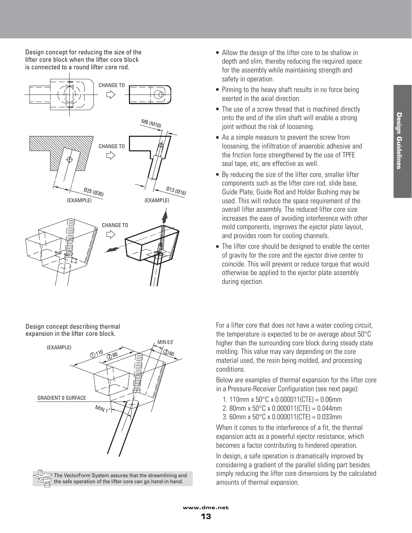Design concept for reducing the size of the lifter core block when the lifter core block is connected to a round lifter core rod.



Design concept describing thermal expansion in the lifter core block.





- Allow the design of the lifter core to be shallow in depth and slim, thereby reducing the required space for the assembly while maintaining strength and safety in operation.
- Pinning to the heavy shaft results in no force being exerted in the axial direction.
- The use of a screw thread that is machined directly onto the end of the slim shaft will enable a strong joint without the risk of loosening.
- As a simple measure to prevent the screw from loosening, the infiltration of anaerobic adhesive and the friction force strengthened by the use of TPFE seal tape, etc, are effective as well.
- By reducing the size of the lifter core, smaller lifter components such as the lifter core rod, slide base, Guide Plate, Guide Rod and Holder Bushing may be used. This will reduce the space requirement of the overall lifter assembly. The reduced lifter core size increases the ease of avoiding interference with other mold components, improves the ejector plate layout, and provides room for cooling channels.
- The lifter core should be designed to enable the center of gravity for the core and the ejector drive center to coincide. This will prevent or reduce torque that would otherwise be applied to the ejector plate assembly during ejection.

For a lifter core that does not have a water cooling circuit, the temperature is expected to be on average about 50°C higher than the surrounding core block during steady state molding. This value may vary depending on the core material used, the resin being molded, and processing conditions.

Below are examples of thermal expansion for the lifter core in a Pressure-Receiver Configuration (see next page):

- 1. 110mm x  $50^{\circ}$ C x 0.000011(CTE) = 0.06mm
- 2. 80mm x  $50^{\circ}$ C x 0.000011(CTE) = 0.044mm
- 3. 60mm x 50°C x 0.000011(CTE) = 0.033mm

When it comes to the interference of a fit, the thermal expansion acts as a powerful ejector resistance, which becomes a factor contributing to hindered operation.

In design, a safe operation is dramatically improved by considering a gradient of the parallel sliding part besides simply reducing the lifter core dimensions by the calculated amounts of thermal expansion.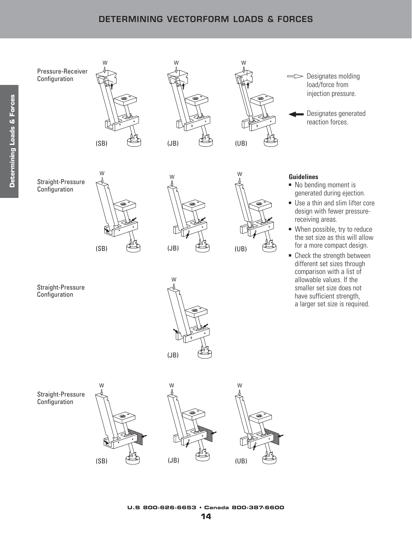# **DETERMINING VECTORFORM LOADS & FORCES**







W

Designates molding load/force from injection pressure.

Designates generated reaction forces.

Straight-Pressure Configuration







W

### **Guidelines**

- No bending moment is generated during ejection.
- Use a thin and slim lifter core design with fewer pressurereceiving areas.
- When possible, try to reduce the set size as this will allow for a more compact design.
- Check the strength between different set sizes through comparison with a list of allowable values. If the smaller set size does not have sufficient strength, a larger set size is required.

Straight-Pressure Configuration









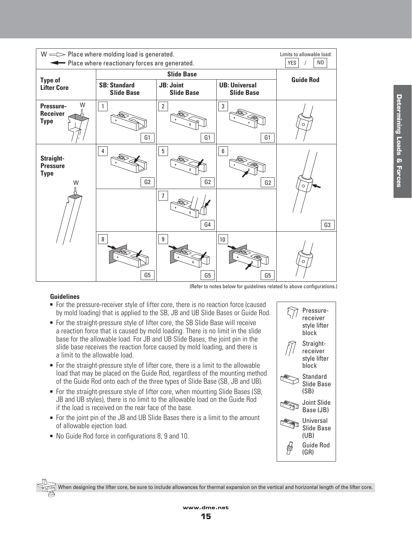

#### **Guidelines**

- For the pressure-receiver style of lifter core, there is no reaction force (caused by mold loading) that is applied to the SB, JB and UB Slide Bases or Guide Rod.
- For the straight-pressure style of lifter core, the SB Slide Base will receive a reaction force that is caused by mold loading. There is no limit in the slide base for the allowable load. For JB and UB Slide Bases, the joint pin in the slide base receives the reaction force caused by mold loading, and there is a limit to the allowable load.
- For the straight-pressure style of lifter core, there is a limit to the allowable load that may be placed on the Guide Rod, regardless of the mounting method of the Guide Rod onto each of the three types of Slide Base (SB, JB and UB).
- For the straight-pressure style of lifter core, when mounting Slide Bases (SB, JB and UB styles), there is no limit to the allowable load on the Guide Rod if the load is received on the rear face of the base.
- For the joint pin of the JB and UB Slide Bases there is a limit to the amount of allowable ejection load.
- No Guide Rod force in configurations 8, 9 and 10.



When designing the lifter core, be sure to include allowances for thermal expansion on the vertical and horizontal length of the lifter core.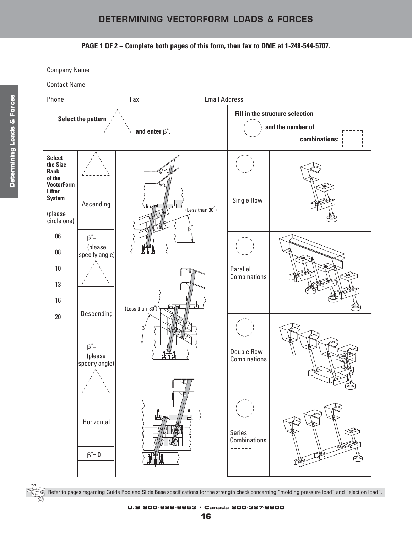# **DETERMINING VECTORFORM LOADS & FORCES**





**U.S 800-626-6653 • Canada 800-387-6600**

Refer to pages regarding Guide Rod and Slide Base specifications for the strength check concerning "molding pressure load" and "ejection load".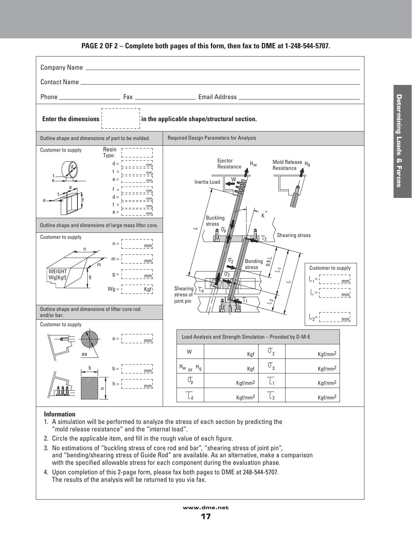#### Company Name Contact Name Phone Fax Email Address **Enter the dimensions in the applicable shape/structural section.** Required Design Parameters for Analysis Outline shape and dimensions of part to be molded. Resin Customer to supply Type: Ejector Mold Release  $H_0$  $H_W$  $d =$ mm Resistance d Resistance  $t =$ mm t  $e =$ e W mm Inertia Load a  $f$ <u>\_ mm</u> t  $d =$ mm e $\rightarrow$  f  $t =$  $\equiv \pm \pm \pm \pm \pm \frac{mm}{2}$  $e =$  $\frac{1}{2}$  mm ˚ **Buckling** K stress Outline shape and dimensions of large mass lifter core.  $\overline{ }$ p Shearing stress Customer to supply 2  $n =$  $mm<sub>j</sub>$ n  $m =$  $\sigma_{2}$ mm Bending 0.5 m stress Customer to supply  $\frac{1}{2}$ – **WEIGHT**  $g =$ 0 ব Wg[Kgf]  $mm<sub>1</sub>$ g = mm 1 Shearing >  $W<sub>q</sub>$ Kgf  $\tau_{\sf d}$ = stress of mm joint pin 1  $\sim$ Outline shape and dimensions of lifter core rod and/or bar. =  $-$  mm 2 Customer to supply Load Analysis and Strength Simulation – Provided by D-M-E a =  $mm<sub>1</sub>$ W  $\sigma_{2}$ Kgf Kgf/mm2 øa  $H_{\sf w}$   $_{\sf or}$   $H_{\sf g}$   $\Big\vert$   $\qquad \qquad$   $_{\sf Kgf}$   $\Big\vert$   $\qquad \, ^{\sf O}$   $_{\sf 3}$ Kgf Kgf/mm2 b  $h =$ mm  $\overline{l_1}$  $\mathbb{O}_{\mathsf{p}}$ Kgf/mm2  $h =$ Kgf/mm2 mm ے T, T, Kgf/mm2 Kgf/mm2

# **PAGE 2 OF 2 – Complete both pages of this form, then fax to DME at 1-248-544-5707.**

#### **Information**

- 1. A simulation will be performed to analyze the stress of each section by predicting the "mold release resistance" and the "internal load".
- 2. Circle the applicable item, and fill in the rough value of each figure.
- 3. No estimations of "buckling stress of core rod and bar", "shearing stress of joint pin", and "bending/shearing stress of Guide Rod" are available. As an alternative, make a comparison with the specified allowable stress for each component during the evaluation phase.
- 4. Upon completion of this 2-page form, please fax both pages to DME at 248-544-5707. The results of the analysis will be returned to you via fax.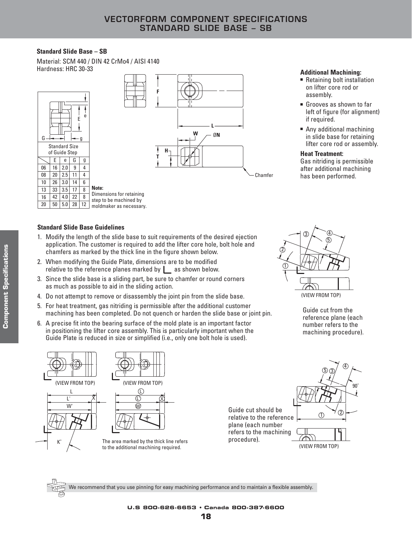#### **Standard Slide Base – SB**

Material: SCM 440 / DIN 42 CrMo4 / AISI 4140







- Retaining bolt installation on lifter core rod or assembly.
- Grooves as shown to far left of figure (for alignment) if required.
- Any additional machining in slide base for retaining lifter core rod or assembly.

#### **Heat Treatment:**

Gas nitriding is permissible after additional machining has been performed.

#### **Standard Slide Base Guidelines**

- 1. Modify the length of the slide base to suit requirements of the desired ejection application. The customer is required to add the lifter core hole, bolt hole and chamfers as marked by the thick line in the figure shown below.
- 2. When modifying the Guide Plate, dimensions are to be modified relative to the reference planes marked by  $\Box$  as shown below.
- 3. Since the slide base is a sliding part, be sure to chamfer or round corners as much as possible to aid in the sliding action.
- 4. Do not attempt to remove or disassembly the joint pin from the slide base.
- 5. For heat treatment, gas nitriding is permissible after the additional customer machining has been completed. Do not quench or harden the slide base or joint pin.
- 6. A precise fit into the bearing surface of the mold plate is an important factor in positioning the lifter core assembly. This is particularly important when the Guide Plate is reduced in size or simplified (i.e., only one bolt hole is used).



Guide cut from the reference plane (each number refers to the machining procedure).







The area marked by the thick line refers to the additional machining required.



(VIEW FROM TOP)

#### **U.S 800-626-6653 • Canada 800-387-6600**

procedure).

We recommend that you use pinning for easy machining performance and to maintain a flexible assembly.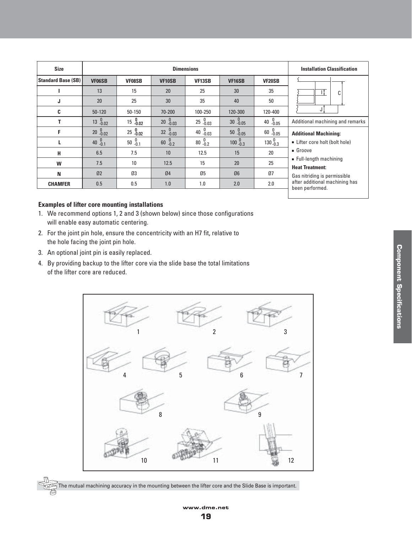| <b>Size</b>               |                  |                     |                  | <b>Installation Classification</b> |                           |                   |                                                        |  |  |
|---------------------------|------------------|---------------------|------------------|------------------------------------|---------------------------|-------------------|--------------------------------------------------------|--|--|
| <b>Standard Base (SB)</b> | <b>VF06SB</b>    | <b>VF08SB</b>       | <b>VF10SB</b>    | VF13SB                             | VF <sub>16</sub> SB       | VF20SB            |                                                        |  |  |
|                           | 13               | 15                  | 20               | 25                                 | 30                        | 35                | C                                                      |  |  |
| J                         | 20               | 25                  | 30               | 35                                 | 40                        | 50                |                                                        |  |  |
| C                         | $50 - 120$       | $50 - 150$          | 70-200           | 100-250                            | 120-300                   | 120-400           | J                                                      |  |  |
|                           | $13^{0}_{-0.02}$ | $15^{0}_{-0.02}$    | $20^{0}$ -0.03   | $25^{0}_{-0.03}$                   | $30^{0}$ -0.05            | 40 $^{0}_{-0.05}$ | Additional machining and remarks                       |  |  |
| F                         | $20 - 0.02$      | $25\frac{0}{-0.02}$ | $32^{0}_{-0.03}$ | $40^{0}$ <sub>-0.03</sub>          | $50^{0}$ <sub>-0.05</sub> | $60^{0}$ -0.05    | <b>Additional Machining:</b>                           |  |  |
| L                         | 40 $^{0}_{-0.1}$ | $50^{0}$ -0.1       | $60^{0}$         | $80^{0}$ -0.2                      | $100\, {}^{0}_{-0.3}$     | $130^{0}_{-0.3}$  | Lifter core holt (bolt hole)                           |  |  |
| н                         | 6.5              | 7.5                 | 10               | 12.5                               | 15                        | 20                | Groove                                                 |  |  |
| W                         | 7.5              | 10 <sup>1</sup>     | 12.5             | 15                                 | 20                        | 25                | • Full-length machining                                |  |  |
| N                         | 02               | Ø3                  | 04               | Ø5                                 | Ø6                        | Ø7                | <b>Heat Treatment:</b><br>Gas nitriding is permissible |  |  |
| <b>CHAMFER</b>            | 0.5              | 0.5                 | 1.0              | 1.0                                | 2.0                       | 2.0               | after additional machining has<br>been performed.      |  |  |

#### **Examples of lifter core mounting installations**

- 1. We recommend options 1, 2 and 3 (shown below) since those configurations will enable easy automatic centering.
- 2. For the joint pin hole, ensure the concentricity with an H7 fit, relative to the hole facing the joint pin hole.
- 3. An optional joint pin is easily replaced.
- 4. By providing backup to the lifter core via the slide base the total limitations of the lifter core are reduced.



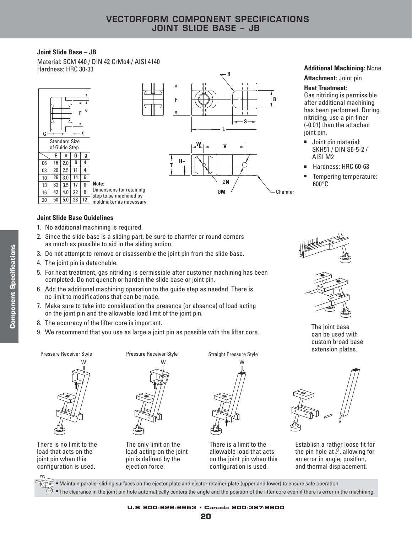#### **Joint Slide Base – JB**

Material: SCM 440 / DIN 42 CrMo4 / AISI 4140



# **Additional Machining: None Attachment:** Joint pin

#### **Heat Treatment:**

**D**

Chamfer

Gas nitriding is permissible after additional machining has been performed. During nitriding, use a pin finer (-0.01) than the attached joint pin.

- Joint pin material: SKH51 / DIN S6-5-2 / AISI M2
- Hardness: HRC 60-63
- Tempering temperature: 600°C

#### **Joint Slide Base Guidelines**

- 1. No additional machining is required.
- 2. Since the slide base is a sliding part, be sure to chamfer or round corners as much as possible to aid in the sliding action.
- 3. Do not attempt to remove or disassemble the joint pin from the slide base.
- 4. The joint pin is detachable.
- 5. For heat treatment, gas nitriding is permissible after customer machining has been completed. Do not quench or harden the slide base or joint pin.
- 6. Add the additional machining operation to the guide step as needed. There is no limit to modifications that can be made.
- 7. Make sure to take into consideration the presence (or absence) of load acting on the joint pin and the allowable load limit of the joint pin.
- 8. The accuracy of the lifter core is important.
- 9. We recommend that you use as large a joint pin as possible with the lifter core.

Pressure Receiver Style **Pressure Receiver Style** Straight Pressure Style



There is no limit to the load that acts on the joint pin when this configuration is used.



The only limit on the load acting on the joint pin is defined by the ejection force.



There is a limit to the allowable load that acts on the joint pin when this configuration is used.





The joint base can be used with custom broad base extension plates.



Establish a rather loose fit for the pin hole at  $\mathcal{J}$ , allowing for an error in angle, position, and thermal displacement.

■ Maintain parallel sliding surfaces on the ejector plate and ejector retainer plate (upper and lower) to ensure safe operation.

 $\mathfrak{S}\,$  = The clearance in the joint pin hole automatically centers the angle and the position of the lifter core even if there is error in the machining.

**20**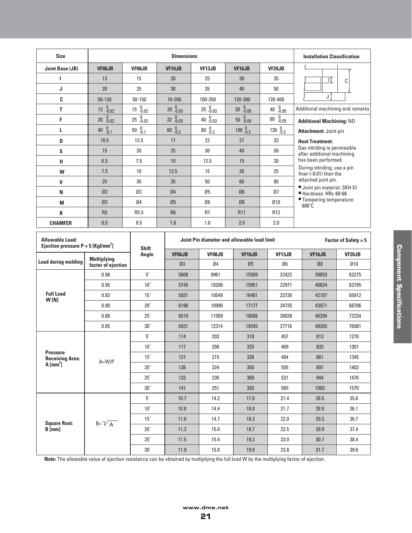| <b>Size</b>                                                                |                                                 |                          | <b>Dimensions</b> |                         |                                             |                                                        | <b>Installation Classification</b>                         |                             |
|----------------------------------------------------------------------------|-------------------------------------------------|--------------------------|-------------------|-------------------------|---------------------------------------------|--------------------------------------------------------|------------------------------------------------------------|-----------------------------|
| <b>Joint Base (JB)</b>                                                     | VF06JB                                          | VF08JB                   | VF10JB            | VF13JB                  | VF <sub>16</sub> JB                         | <b>VF20JB</b>                                          |                                                            |                             |
| ı                                                                          | 13                                              | 15                       | 20                | 25                      | 30                                          | 35                                                     | П,                                                         | C                           |
| J                                                                          | 20                                              | 25                       | 30                | 35                      | 40                                          | 50                                                     |                                                            |                             |
| C                                                                          | 50-120                                          | 50-150                   | 70-200            | 100-250                 | 120-300                                     | 120-400                                                | J                                                          |                             |
| T.                                                                         | $13 \t -0.02$                                   | $15\, \frac{0}{-0.02}$   | $20 - 0.03$       | $25^{0}_{-0.03}$        | $30^{0}$ -0.05                              | $40^{0}$ -0.05                                         | Additional machining and remarks                           |                             |
| F                                                                          | $\begin{array}{c} 0 \\ -0.02 \end{array}$<br>20 | $25\, \tfrac{0}{-0.02}$  | $32 - 0.03$       | $\frac{0}{-0.03}$<br>40 | $50^{0}$ -0.05                              | $\begin{array}{c} 0 \\ \text{-0.05} \end{array}$<br>60 | <b>Additional Machining: NO</b>                            |                             |
| L.                                                                         | $0.1 - 0.1$<br>$40\,$                           | $50^{0}$ <sub>-0.1</sub> | $60^{0}_{-0.2}$   | $^{0}_{-0.2}$<br>$80\,$ | $100\, \frac{0}{-0.3}$                      | $130^{0}_{-0.3}$                                       | <b>Attachment: Joint pin</b>                               |                             |
| D                                                                          | 10.5                                            | 13.5                     | 17                | 22                      | 27                                          | 33                                                     | <b>Heat Treatment:</b>                                     |                             |
| S                                                                          | 15                                              | 20                       | 25                | 30                      | 40                                          | 50                                                     | Gas nitriding is permissible<br>after additional machining |                             |
| н                                                                          | 6.5                                             | 7.5                      | 10                | 12.5                    | 15                                          | 20                                                     | has been performed.                                        |                             |
| W                                                                          | 7.5                                             | 10                       | 12.5              | 15                      | 20                                          | 25                                                     | During nitriding, use a pin<br>finer (-0.01) than the      |                             |
| V                                                                          | 25                                              | 30                       | 35                | 50                      | 60                                          | 80                                                     | attached joint pin.                                        |                             |
| N                                                                          | 02                                              | Ø3                       | 04                | Ø5                      | Ø6                                          | Ø7                                                     | Joint pin material: SKH 51<br>Hardness: HRc 60-66          |                             |
| M                                                                          | Ø3                                              | Ø4                       | Ø5                | Ø6                      | Ø8                                          | 010                                                    | ■ Tempering temperature:<br>$600^{\circ}$ C                |                             |
| R                                                                          | R <sub>3</sub>                                  | R <sub>5.5</sub>         | R <sub>6</sub>    | R7                      | R <sub>11</sub>                             | R <sub>12</sub>                                        |                                                            |                             |
| <b>CHAMFER</b>                                                             | 0.5                                             | 0.5                      | 1.0               | 1.0                     | 2.0                                         | 2.0                                                    |                                                            |                             |
| <b>Allowable Load:</b><br>Ejection pressure $P = 5$ [Kgf/mm <sup>2</sup> ] |                                                 | <b>Shift</b>             |                   |                         | Joint Pin diameter and allowable load limit |                                                        |                                                            | <b>Factor of Safety = 5</b> |
|                                                                            | <b>Multiplying</b>                              | Angle                    | VF06JB            | VF08JB                  | VF <sub>10JB</sub>                          | VF13JB                                                 | VF16JB                                                     | VF20JB                      |
| <b>Load during molding</b>                                                 | factor of ejection                              |                          | Ø3                | Ø4                      | Ø5                                          | Ø6                                                     | Ø8                                                         | 010                         |
|                                                                            | 0.98                                            | $5^\circ$                | 5608              | 9961                    | 15569                                       | 22422                                                  | 39853                                                      | 62275                       |
|                                                                            | 0.95                                            | $10^{\circ}$             | 5745              | 10206                   | 15951                                       | 22971                                                  | 40824                                                      | 63795                       |
| <b>Full Load</b><br>W[N]                                                   | 0.93                                            | $15^\circ$               | 5931              | 10549                   | 16481                                       | 23726                                                  | 42187                                                      | 65912                       |
|                                                                            | 0.90                                            | $20^\circ$               | 6186              | 10990                   | 17177                                       | 24735                                                  | 43971                                                      | 68706                       |
|                                                                            | 0.88                                            | $25^\circ$               | 6510              | 11569                   | 18088                                       | 26039                                                  | 46294                                                      | 72334                       |
|                                                                            | 0.85                                            | $30^\circ$               | 6931              | 12314                   | 19245                                       | 27716                                                  | 49265                                                      | 76981                       |
|                                                                            |                                                 | $5^\circ$                | 114               | 203                     | 318                                         | 457                                                    | 813                                                        | 1270                        |
| <b>Pressure</b>                                                            |                                                 | $10^{\circ}$             | 117               | 208                     | 325                                         | 469                                                    | 833                                                        | 1301                        |
| <b>Receiving Area:</b><br>$A$ [mm <sup>2</sup> ]                           | $A=W/P$                                         | $15^{\circ}$             | 121               | 215                     | 336                                         | 484                                                    | 861                                                        | 1345                        |
|                                                                            |                                                 | $20^\circ$               | 126               | 224                     | 350                                         | 505                                                    | 897                                                        | 1402                        |
|                                                                            |                                                 | $25^\circ$               | 133               | 236                     | 369                                         | 531                                                    | 944                                                        | 1476                        |
|                                                                            |                                                 | $30^\circ$               | 141               | 251                     | 393                                         | 565                                                    | 1005                                                       | 1570                        |
|                                                                            |                                                 | $5^\circ$                | 10.7              | 14.2                    | 17.8                                        | 21.4                                                   | 28.5                                                       | 35.6                        |
|                                                                            |                                                 | $10^{\circ}$             | 10.8              | 14.4                    | 18.0                                        | 21.7                                                   | 28.9                                                       | 36.1                        |
| <b>Square Root:</b>                                                        | $B = V_A$                                       | $15^\circ$               | 11.0              | 14.7                    | 18.3                                        | 22.0                                                   | 29.3                                                       | 36.7                        |
| $B$ [mm]                                                                   |                                                 | $20^\circ$               | 11.2              | 15.0                    | 18.7                                        | 22.5                                                   | 29.9                                                       | 37.4                        |
|                                                                            |                                                 | $25^\circ$               | 11.5              | 15.4                    | 19.2                                        | 23.0                                                   | 30.7                                                       | 38.4                        |
|                                                                            |                                                 | $30^\circ$               | $11.9$            | 15.8                    | 19.8                                        | 23.8                                                   | 31.7                                                       | 39.6                        |

**Note:** The allowable value of ejection resistance can be obtained by multiplying the full load W by the multiplying factor of ejection.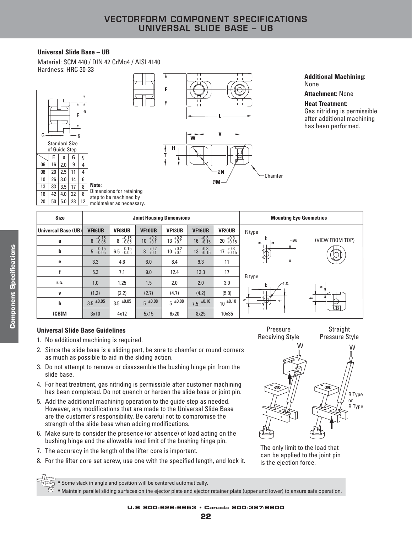#### **Universal Slide Base – UB**

Material: SCM 440 / DIN 42 CrMo4 / AISI 4140 Hardness: HRC 30-33





Ø**N**

Chamfer

Pressure

Ø**M**

#### **Additional Machining:** None

**Attachment:** None

#### **Heat Treatment:**

Gas nitriding is permissible after additional machining has been performed.

| <b>Size</b>         |                                      |                         |                                   | <b>Joint Housing Dimensions</b> | <b>Mounting Eye Geometries</b> |                       |                        |
|---------------------|--------------------------------------|-------------------------|-----------------------------------|---------------------------------|--------------------------------|-----------------------|------------------------|
| Universal Base (UB) | <b>VF06UB</b>                        | VF08UB                  | <b>VF10UB</b>                     | VF <sub>13</sub> UB             | VF16UB                         | VF20UB                | R type                 |
| a                   | $+0.15$<br>$+0.05$<br>$6\phantom{1}$ | $+0.15$<br>$+0.05$<br>8 | $+0.2$<br>+0.1<br>10 <sup>°</sup> | $+0.2$<br>+0.1<br>13            | $16^{+0.3}_{+0.15}$            | $20 + 0.3 + 0.15$     | (VIEW FROM TOP)<br>-øa |
| b                   | $+0.15$<br>$+0.05$<br>5              | $6.5^{+0.15}_{+0.05}$   | $+0.2$<br>+0.1<br>8               | $+0.2$<br>+0.1<br>10            | $13^{+0.3}_{+0.15}$            | $+0.3$<br>+0.15<br>17 | ſМ                     |
| e                   | 3.3                                  | 4.6                     | 6.0                               | 8.4                             | 9.3                            | 11                    | . L .                  |
|                     | 5.3                                  | 7.1                     | 9.0                               | 12.4                            | 13.3                           | 17                    | B type                 |
| r.c.                | 1.0                                  | 1.25                    | 1.5                               | 2.0                             | 2.0                            | 3.0                   | ∕r.c.<br>b             |
| $\mathbf{v}$        | (1.2)                                | (2.2)                   | (2.7)                             | (4.7)                           | (4.2)                          | (5.0)                 | $\geq$                 |
| h                   | $3.5 \pm 0.05$                       | $3.5 \pm 0.05$          | $5^{\pm 0.08}$                    | $5^{\pm 0.08}$                  | $7.5 \pm 0.10$                 | $10^{-10.10}$         | ᅩ<br>Φ<br>TP.<br>꾢     |
| $(CB)$ M            | 3x10                                 | 4x12                    | 5x15                              | 6x20                            | 8x25                           | 10x35                 | .                      |

#### **Universal Slide Base Guidelines**

- 1. No additional machining is required.
- 2. Since the slide base is a sliding part, be sure to chamfer or round corners as much as possible to aid in the sliding action.
- 3. Do not attempt to remove or disassemble the bushing hinge pin from the slide base.
- 4. For heat treatment, gas nitriding is permissible after customer machining has been completed. Do not quench or harden the slide base or joint pin.
- 5. Add the additional machining operation to the guide step as needed. However, any modifications that are made to the Universal Slide Base are the customer's responsibility. Be careful not to compromise the strength of the slide base when adding modifications.
- 6. Make sure to consider the presence (or absence) of load acting on the bushing hinge and the allowable load limit of the bushing hinge pin.
- 7. The accuracy in the length of the lifter core is important.
- 8. For the lifter core set screw, use one with the specified length, and lock it.

Receiving Style **Straight** Pressure Style W W R Type or B Type

The only limit to the load that can be applied to the joint pin is the ejection force.

■ Some slack in angle and position will be centered automatically.

<sup>5</sup> • Maintain parallel sliding surfaces on the ejector plate and ejector retainer plate (upper and lower) to ensure safe operation.

**U.S 800-626-6653 • Canada 800-387-6600**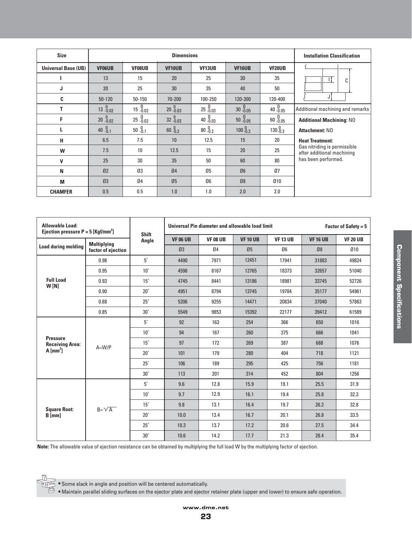| <b>Size</b>                |                  |                                      | <b>Installation Classification</b> |                 |                    |                  |                                                            |  |
|----------------------------|------------------|--------------------------------------|------------------------------------|-----------------|--------------------|------------------|------------------------------------------------------------|--|
| <b>Universal Base (UB)</b> | VF06UB           | VF08UB                               | VF10UB                             | VF13UB          | VF <sub>16UB</sub> | <b>VF20UB</b>    |                                                            |  |
|                            | 13               | 15                                   | 20                                 | 25              | 30                 | 35               | C                                                          |  |
| J                          | 20               | 25                                   | 30                                 | 35              | 40                 | 50               |                                                            |  |
| C                          | $50 - 120$       | 50-150                               | $70 - 200$                         | 100-250         | 120-300            | 120-400          |                                                            |  |
| Т                          | $13^{0}_{-0.02}$ | $15\, \frac{\text{0}}{\text{-0.02}}$ | $20 - 0.03$                        | 25.003          | $30 - 0.05$        | 40.05            | Additional machining and remarks                           |  |
| F                          | $20 - 0.02$      | $25\,{}^{0}_{-0.02}$                 | 32.003                             | 40.000100       | 50.05              | 60.05            | <b>Additional Machining: NO</b>                            |  |
|                            | 40 $^{0}_{-0.1}$ | $50^{0}$ -0.1                        | $60^{0}_{-0.2}$                    | $80^{0}_{-0.2}$ | $100\frac{0}{0.3}$ | $130^{0}_{-0.3}$ | <b>Attachment: NO</b>                                      |  |
| н                          | 6.5              | 7.5                                  | 10                                 | 12.5            | 15                 | 20               | <b>Heat Treatment:</b>                                     |  |
| W                          | 7.5              | 10                                   | 12.5                               | 15              | 20                 | 25               | Gas nitriding is permissible<br>after additional machining |  |
| v                          | 25               | 30                                   | 35                                 | 50              | 60                 | 80               | has been performed.                                        |  |
| N                          | Q <sub>2</sub>   | Ø3                                   | 04                                 | Ø5              | Ø6                 | 07               |                                                            |  |
| M                          | Ø3               | Ø4                                   | Ø5                                 | Ø6              | Ø8                 | 010              |                                                            |  |
| <b>CHAMFER</b>             | 0.5              | 0.5                                  | 1.0                                | 1.0             | 2.0                | 2.0              |                                                            |  |

| <b>Allowable Load:</b><br>Ejection pressure $P = 5$ [Kqf/mm <sup>2</sup> ] |                    | <b>Shift</b> | Universal Pin diameter and allowable load limit<br><b>Factor of Safety = 5</b> |                 |                 |                 |                 |                 |  |
|----------------------------------------------------------------------------|--------------------|--------------|--------------------------------------------------------------------------------|-----------------|-----------------|-----------------|-----------------|-----------------|--|
|                                                                            | <b>Multiplying</b> | Angle        | <b>VF 06 UB</b>                                                                | <b>VF 08 UB</b> | <b>VF 10 UB</b> | <b>VF 13 UB</b> | <b>VF 16 UB</b> | <b>VF 20 UB</b> |  |
| <b>Load during molding</b>                                                 | factor of ejection |              | Ø3                                                                             | Ø4              | Ø5              | Ø6              | Ø8              | 010             |  |
|                                                                            | 0.98               | $5^\circ$    | 4490                                                                           | 7971            | 12451           | 17941           | 31883           | 49824           |  |
|                                                                            | 0.95               | $10^{\circ}$ | 4598                                                                           | 8167            | 12765           | 18373           | 32657           | 51040           |  |
| <b>Full Load</b>                                                           | 0.93               | $15^\circ$   | 4745                                                                           | 8441            | 13186           | 18981           | 33745           | 52726           |  |
| W[N]                                                                       | 0.90               | $20^\circ$   | 4951                                                                           | 8794            | 13745           | 19784           | 35177           | 54961           |  |
|                                                                            | 0.88               | $25^\circ$   | 5206                                                                           | 9255            | 14471           | 20834           | 37040           | 57863           |  |
|                                                                            | 0.85               | $30^\circ$   | 5549                                                                           | 9853            | 15392           | 22177           | 39412           | 61589           |  |
|                                                                            | $A=WW/P$           | $5^\circ$    | 92                                                                             | 163             | 254             | 366             | 650             | 1016            |  |
|                                                                            |                    | $10^{\circ}$ | 94                                                                             | 167             | 260             | 375             | 666             | 1041            |  |
| <b>Pressure</b><br><b>Receiving Area:</b>                                  |                    | $15^\circ$   | 97                                                                             | 172             | 269             | 387             | 688             | 1076            |  |
| $A$ [mm <sup>2</sup> ]                                                     |                    | $20^\circ$   | 101                                                                            | 179             | 280             | 404             | 718             | 1121            |  |
|                                                                            |                    | $25^\circ$   | 106                                                                            | 189             | 295             | 425             | 756             | 1181            |  |
|                                                                            |                    | $30^\circ$   | 113                                                                            | 201             | 314             | 452             | 804             | 1256            |  |
|                                                                            |                    | $5^\circ$    | 9.6                                                                            | 12.8            | 15.9            | 19.1            | 25.5            | 31.9            |  |
|                                                                            |                    | $10^{\circ}$ | 9.7                                                                            | 12.9            | 16.1            | 19.4            | 25.8            | 32.3            |  |
| <b>Square Root:</b>                                                        | $B = \sqrt{A}$     | $15^\circ$   | 9.8                                                                            | 13.1            | 16.4            | 19.7            | 26.2            | 32.8            |  |
| $B$ [mm]                                                                   |                    | $20^\circ$   | 10.0                                                                           | 13.4            | 16.7            | 20.1            | 26.8            | 33.5            |  |
|                                                                            |                    | $25^\circ$   | 10.3                                                                           | 13.7            | 17.2            | 20.6            | 27.5            | 34.4            |  |
|                                                                            |                    | $30^\circ$   | 10.6                                                                           | 14.2            | 17.7            | 21.3            | 28.4            | 35.4            |  |

**Note:** The allowable value of ejection resistance can be obtained by multiplying the full load W by the multiplying factor of ejection.

■ Some slack in angle and position will be centered automatically.

■ Maintain parallel sliding surfaces on the ejector plate and ejector retainer plate (upper and lower) to ensure safe operation.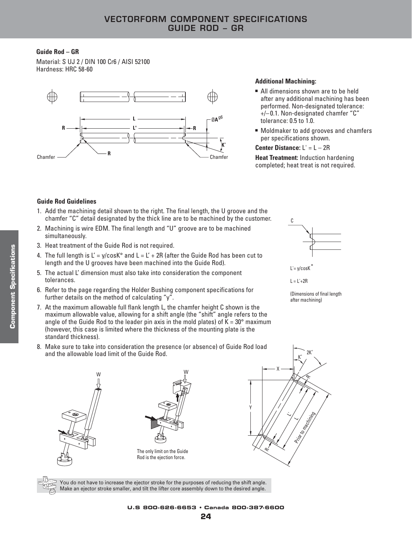#### **Guide Rod – GR**

Material: S UJ 2 / DIN 100 Cr6 / AISI 52100 Hardness: HRC 58-60



#### **Additional Machining:**

- All dimensions shown are to be held after any additional machining has been performed. Non-designated tolerance: +/– 0.1. Non-designated chamfer "C" tolerance: 0.5 to 1.0.
- Moldmaker to add grooves and chamfers per specifications shown.

#### **Center Distance:** L' = L – 2R

**Heat Treatment:** Induction hardening completed; heat treat is not required.

#### **Guide Rod Guidelines**

- 1. Add the machining detail shown to the right. The final length, the U groove and the chamfer "C" detail designated by the thick line are to be machined by the customer.
- 2. Machining is wire EDM. The final length and "U" groove are to be machined simultaneously.
- 3. Heat treatment of the Guide Rod is not required.
- 4. The full length is  $L' = y/cosK^{\circ}$  and  $L = L' + 2R$  (after the Guide Rod has been cut to length and the U grooves have been machined into the Guide Rod).
- 5. The actual L' dimension must also take into consideration the component tolerances.
- 6. Refer to the page regarding the Holder Bushing component specifications for further details on the method of calculating "y".
- 7. At the maximum allowable full flank length L, the chamfer height C shown is the maximum allowable value, allowing for a shift angle (the "shift" angle refers to the angle of the Guide Rod to the leader pin axis in the mold plates) of  $K = 30^{\circ}$  maximum (however, this case is limited where the thickness of the mounting plate is the standard thickness).
- C

L'= y/cosK

 $L = L' + 2R$ 

(Dimensions of final length after machining)

˚









You do not have to increase the ejector stroke for the purposes of reducing the shift angle. Make an ejector stroke smaller, and tilt the lifter core assembly down to the desired angle.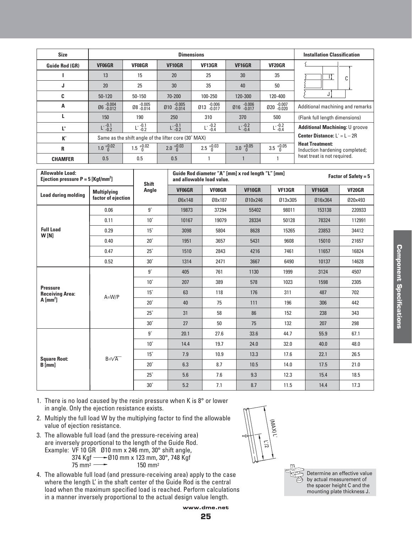| <b>Size</b>           |                   |                                               | <b>Installation Classification</b>                   |                                       |                         |                   |                                                          |  |
|-----------------------|-------------------|-----------------------------------------------|------------------------------------------------------|---------------------------------------|-------------------------|-------------------|----------------------------------------------------------|--|
| <b>Guide Rod (GR)</b> | <b>VF06GR</b>     | <b>VF08GR</b>                                 | VF10GR                                               | <b>VF13GR</b>                         | VF16GR                  | <b>VF20GR</b>     |                                                          |  |
|                       | 13                | 15                                            | 20                                                   | 25                                    | 30                      | 35                | C                                                        |  |
| J                     | 20                | 25                                            | 30                                                   | 35                                    | 40                      | 50                |                                                          |  |
| C                     | $50 - 120$        | $50 - 150$                                    | 70-200                                               | 100-250                               | 120-300                 | 120-400           |                                                          |  |
| A                     | Ø6 -0.004         | Ø8-0.005                                      | $\emptyset$ 10 $^{-.0.005}_{-.0.014}$                | $\emptyset$ 13 $^{-.0.006}_{-.0.017}$ | $\emptyset$ 16 $-0.006$ | 020 -0.007        | Additional machining and remarks                         |  |
|                       | 150               | 190                                           | 250                                                  | 310                                   | 370                     | 500               | (Flank full length dimensions)                           |  |
| Ľ                     | $L = 0.1$         | $L^{-.0.1}_{-.0.2}$                           | $L^{-.0.1}_{-.0.2}$                                  | $L = 0.2$                             | $L = 0.2$               | $L:^{0.2}_{0.4}$  | <b>Additional Machining: U groove</b>                    |  |
| $\mathbf{K}^{\circ}$  |                   |                                               | Same as the shift angle of the lifter core (30° MAX) |                                       |                         |                   | <b>Center Distance:</b> $L' = L - 2R$                    |  |
| R                     | $1.0_{0}^{+0.02}$ | $1.5 \begin{array}{c} +0.02 \\ 0 \end{array}$ | $2.0 \begin{array}{l} +0.03 \\ 0 \end{array}$        | $2.5^{+0.03}_{0}$                     | $3.0 \tbinom{+0.05}{0}$ | $3.5^{+0.05}_{0}$ | <b>Heat Treatment:</b><br>Induction hardening completed; |  |
| <b>CHAMFER</b>        | 0.5               | 0.5                                           | 0.5                                                  |                                       |                         |                   | heat treat is not required.                              |  |

| <b>Allowable Load:</b><br>Ejection pressure $P = 5$ [Kgf/mm <sup>2</sup> ] |                    | <b>Shift</b> | Guide Rod diameter "A" [mm] x rod length "L" [mm]<br><b>Factor of Safety = <math>5</math></b><br>and allowable load value. |               |         |         |         |               |  |
|----------------------------------------------------------------------------|--------------------|--------------|----------------------------------------------------------------------------------------------------------------------------|---------------|---------|---------|---------|---------------|--|
|                                                                            | <b>Multiplying</b> | Angle        | <b>VF06GR</b>                                                                                                              | <b>VF08GR</b> | VF10GR  | VF13GR  | VF16GR  | <b>VF20GR</b> |  |
| <b>Load during molding</b>                                                 | factor of ejection |              | Ø6x148                                                                                                                     | Ø8x187        | Ø10x246 | Ø13x305 | Ø16x364 | 020x493       |  |
|                                                                            | 0.06               | $9^{\circ}$  | 19873                                                                                                                      | 37294         | 55402   | 98011   | 153138  | 220933        |  |
|                                                                            | 0.11               | $10^{\circ}$ | 10167                                                                                                                      | 19079         | 28334   | 50128   | 78324   | 112991        |  |
| <b>Full Load</b><br>W[N]                                                   | 0.29               | $15^{\circ}$ | 3098                                                                                                                       | 5804          | 8628    | 15265   | 23853   | 34412         |  |
|                                                                            | 0.40               | $20^\circ$   | 1951                                                                                                                       | 3657          | 5431    | 9608    | 15010   | 21657         |  |
|                                                                            | 0.47               | $25^\circ$   | 1510                                                                                                                       | 2843          | 4216    | 7461    | 11657   | 16824         |  |
|                                                                            | 0.52               | $30^\circ$   | 1314                                                                                                                       | 2471          | 3667    | 6490    | 10137   | 14628         |  |
|                                                                            | $A=WW/P$           | $9^{\circ}$  | 405                                                                                                                        | 761           | 1130    | 1999    | 3124    | 4507          |  |
|                                                                            |                    | $10^{\circ}$ | 207                                                                                                                        | 389           | 578     | 1023    | 1598    | 2305          |  |
| <b>Pressure</b><br><b>Receiving Area:</b>                                  |                    | $15^\circ$   | 63                                                                                                                         | 118           | 176     | 311     | 487     | 702           |  |
| $A \, [\text{mm}^2]$                                                       |                    | $20^\circ$   | 40                                                                                                                         | 75            | 111     | 196     | 306     | 442           |  |
|                                                                            |                    | $25^\circ$   | 31                                                                                                                         | 58            | 86      | 152     | 238     | 343           |  |
|                                                                            |                    | $30^\circ$   | 27                                                                                                                         | 50            | 75      | 132     | 207     | 298           |  |
|                                                                            |                    | $9^{\circ}$  | 20.1                                                                                                                       | 27.6          | 33.6    | 44.7    | 55.9    | 67.1          |  |
|                                                                            |                    | $10^{\circ}$ | 14.4                                                                                                                       | 19.7          | 24.0    | 32.0    | 40.0    | 48.0          |  |
| <b>Square Root:</b>                                                        | $B = \sqrt{A}$     | $15^{\circ}$ | 7.9                                                                                                                        | 10.9          | 13.3    | 17.6    | 22.1    | 26.5          |  |
| $B$ [mm]                                                                   |                    | $20^\circ$   | 6.3                                                                                                                        | 8.7           | 10.5    | 14.0    | 17.5    | 21.0          |  |
|                                                                            |                    | $25^\circ$   | 5.6                                                                                                                        | 7.6           | 9.3     | 12.3    | 15.4    | 18.5          |  |
|                                                                            |                    | $30^\circ$   | 5.2                                                                                                                        | 7.1           | 8.7     | 11.5    | 14.4    | 17.3          |  |

- 1. There is no load caused by the resin pressure when K is 8° or lower in angle. Only the ejection resistance exists.
- 2. Multiply the full load W by the multiplying factor to find the allowable value of ejection resistance.
- 3. The allowable full load (and the pressure-receiving area) are inversely proportional to the length of the Guide Rod. Example: VF 10 GR Ø10 mm x 246 mm, 30° shift angle, 374 Kgf ———Ø10 mm x 123 mm, 30°, 748 Kgf  $75 \text{ mm}^2 \longrightarrow 150 \text{ mm}^2$
- 4. The allowable full load (and pressure-receiving area) apply to the case where the length L' in the shaft center of the Guide Rod is the central load when the maximum specified load is reached. Perform calculations in a manner inversely proportional to the actual design value length.



Determine an effective value ඏ by actual measurement of the spacer height C and the mounting plate thickness J.

**www.dme.net 25**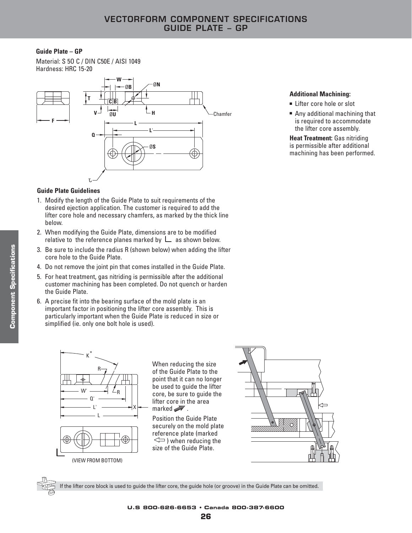#### **Guide Plate – GP**

Material: S 5O C / DIN C50E / AISI 1049 Hardness: HRC 15-20



#### **Guide Plate Guidelines**

- 1. Modify the length of the Guide Plate to suit requirements of the desired ejection application. The customer is required to add the lifter core hole and necessary chamfers, as marked by the thick line below.
- 2. When modifying the Guide Plate, dimensions are to be modified relative to the reference planes marked by  $\Box$  as shown below.
- 3. Be sure to include the radius R (shown below) when adding the lifter core hole to the Guide Plate.
- 4. Do not remove the joint pin that comes installed in the Guide Plate.
- 5. For heat treatment, gas nitriding is permissible after the additional customer machining has been completed. Do not quench or harden the Guide Plate.
- 6. A precise fit into the bearing surface of the mold plate is an important factor in positioning the lifter core assembly. This is particularly important when the Guide Plate is reduced in size or simplified (ie. only one bolt hole is used).



(VIEW FROM BOTTOM)

When reducing the size of the Guide Plate to the point that it can no longer be used to guide the lifter core, be sure to guide the lifter core in the area marked  $\mathbb{W}$ .

Position the Guide Plate securely on the mold plate reference plate (marked  $\iff$ ) when reducing the size of the Guide Plate.



If the lifter core block is used to guide the lifter core, the guide hole (or groove) in the Guide Plate can be omitted.

#### **Additional Machining:**

- Lifter core hole or slot
- Any additional machining that is required to accommodate the lifter core assembly.

**Heat Treatment:** Gas nitriding is permissible after additional machining has been performed.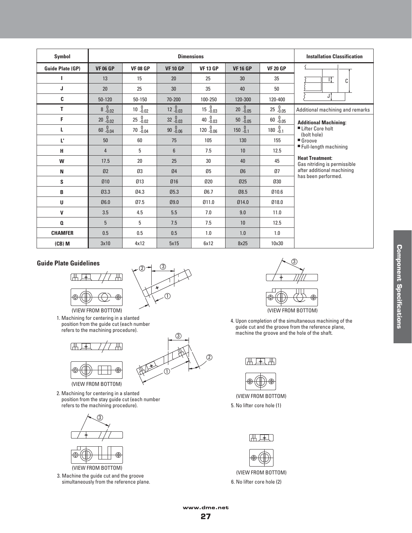| Symbol                  |                         |                           | <b>Installation Classification</b> |                  |                                             |                                             |                                                                                             |  |
|-------------------------|-------------------------|---------------------------|------------------------------------|------------------|---------------------------------------------|---------------------------------------------|---------------------------------------------------------------------------------------------|--|
| <b>Guide Plate (GP)</b> | <b>VF 06 GP</b>         | <b>VF 08 GP</b>           | <b>VF 10 GP</b>                    | <b>VF 13 GP</b>  | <b>VF16GP</b>                               | <b>VF 20 GP</b>                             |                                                                                             |  |
| L                       | 13                      | 15                        | 20                                 | 25               | 30                                          | 35                                          | П<br>C                                                                                      |  |
| J                       | 20                      | 25                        | 30                                 | 35               | 40                                          | 50                                          |                                                                                             |  |
| C                       | $50 - 120$              | 50-150                    | 70-200                             | 100-250          | 120-300                                     | 120-400                                     | J                                                                                           |  |
| T.                      | $8\substack{0\\ -0.02}$ | $10^{0}$ <sub>-0.02</sub> | $12^{0}_{-0.03}$                   | $15^{0}_{-0.03}$ | $20 - 0.05$                                 | $25 - 0.05$                                 | Additional machining and remarks                                                            |  |
| F                       | $20 - 0.02$             | $25^{0}_{-0.02}$          | $32 - 0.03$                        | $40^{0}_{-0.03}$ | $50\begin{array}{c} 0 \\ -0.05 \end{array}$ | $60\begin{array}{c} 0 \\ -0.05 \end{array}$ | <b>Additional Machining:</b>                                                                |  |
| L                       | $60 - 0.04$             | $70 - 0.04$               | $90 - 0.06$                        | $120 - 0.06$     | $150 - 0.1$                                 | 180 $^{0}_{-0.1}$                           | ■ Lifter Core holt<br>(bolt hole)                                                           |  |
| U.                      | 50                      | 60                        | 75                                 | 105              | 130                                         | 155                                         | Groove<br>■ Full-length machining<br><b>Heat Treatment:</b><br>Gas nitriding is permissible |  |
| н                       | $\overline{4}$          | 5                         | $6\phantom{1}$                     | 7.5              | 10                                          | 12.5                                        |                                                                                             |  |
| W                       | 17.5                    | 20                        | 25                                 | 30               | 40                                          | 45                                          |                                                                                             |  |
| N                       | 02                      | Ø3                        | 04                                 | Ø5               | Ø6                                          | 07                                          | after additional machining                                                                  |  |
| S                       | 010                     | Ø13                       | Ø16                                | 020              | 025                                         | 030                                         | has been performed.                                                                         |  |
| B                       | 03.3                    | 04.3                      | 05.3                               | 06.7             | 08.5                                        | 010.6                                       |                                                                                             |  |
| U                       | 06.0                    | 07.5                      | 09.0                               | 011.0            | 014.0                                       | 018.0                                       |                                                                                             |  |
| V                       | 3.5                     | 4.5                       | 5.5                                | 7.0              | 9.0                                         | 11.0                                        |                                                                                             |  |
| Q                       | 5                       | 5                         | 7.5                                | 7.5              | 10                                          | 12.5                                        |                                                                                             |  |
| <b>CHAMFER</b>          | 0.5                     | 0.5                       | 0.5                                | 1.0              | 1.0                                         | 1.0                                         |                                                                                             |  |
| $(CB)$ M                | 3x10                    | 4x12                      | 5x15                               | 6x12             | 8x25                                        | 10x30                                       |                                                                                             |  |

#### **Guide Plate Guidelines**





রি

1

(VIEW FROM BOTTOM) 1. Machining for centering in a slanted position from the guide cut (each number refers to the machining procedure).



(VIEW FROM BOTTOM)

2. Machining for centering in a slanted position from the stay guide cut (each number refers to the machining procedure).





3. Machine the guide cut and the groove simultaneously from the reference plane.



(VIEW FROM BOTTOM)

4. Upon completion of the simultaneous machining of the guide cut and the groove from the reference plane, machine the groove and the hole of the shaft.





(VIEW FROM BOTTOM) 5. No lifter core hole (1)





(VIEW FROM BOTTOM) 6. No lifter core hole (2)

 $(2)$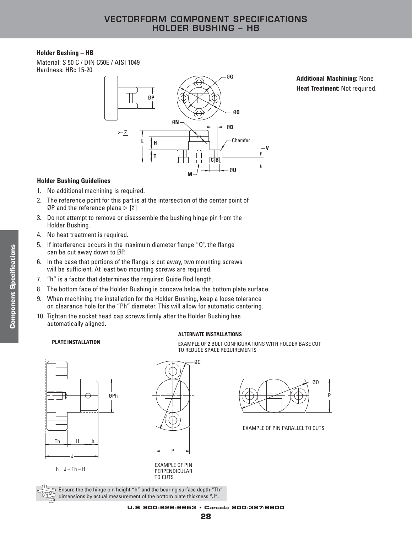#### **Holder Bushing – HB**

Material: S 50 C / DIN C50E / AISI 1049 Hardness: HRc 15-20



**Additional Machining:** None **Heat Treatment:** Not required.

#### **Holder Bushing Guidelines**

- 1. No additional machining is required.
- 2. The reference point for this part is at the intersection of the center point of ØP and the reference plane  $\triangleright$   $\boxed{z}$
- 3. Do not attempt to remove or disassemble the bushing hinge pin from the Holder Bushing.
- 4. No heat treatment is required.
- 5. If interference occurs in the maximum diameter flange "O", the flange can be cut away down to ØP.
- 6. In the case that portions of the flange is cut away, two mounting screws will be sufficient. At least two mounting screws are required.
- 7. "h" is a factor that determines the required Guide Rod length.
- 8. The bottom face of the Holder Bushing is concave below the bottom plate surface.
- 9. When machining the installation for the Holder Bushing, keep a loose tolerance on clearance hole for the "Ph" diameter. This will allow for automatic centering.
- 10. Tighten the socket head cap screws firmly after the Holder Bushing has automatically aligned.

#### **ALTERNATE INSTALLATIONS**

TO REDUCE SPACE REQUIREMENTS

EXAMPLE OF 2 BOLT CONFIGURATIONS WITH HOLDER BASE CUT

ØO



**PLATE INSTALLATION**

P



EXAMPLE OF PIN PARALLEL TO CUTS

 $h = J - Th - H$ 

EXAMPLE OF PIN PERPENDICULAR TO CUTS

 $\geq$  Ensure the the hinge pin height "h" and the bearing surface depth "Th" dimensions by actual measurement of the bottom plate thickness "J".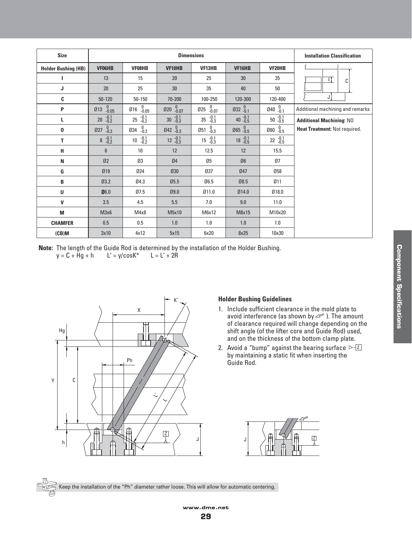| <b>Size</b>                | <b>Dimensions</b>      |                                                         |                               |                                                         |                  |                           | <b>Installation Classification</b> |
|----------------------------|------------------------|---------------------------------------------------------|-------------------------------|---------------------------------------------------------|------------------|---------------------------|------------------------------------|
| <b>Holder Bushing (HB)</b> | <b>VF06HB</b>          | VF08HB                                                  | VF10HB                        | VF13HB                                                  | VF16HB           | VF <sub>20</sub> HB       |                                    |
| L                          | 13                     | 15                                                      | 20                            | 25                                                      | 30               | 35                        | Ц<br>С                             |
| J                          | 20                     | 25                                                      | 30                            | 35                                                      | 40               | 50                        |                                    |
| C                          | $50 - 120$             | 50-150                                                  | 70-200                        | 100-250                                                 | 120-300          | 120-400                   | J                                  |
| P                          | 0.05<br>Ø13            | $\begin{smallmatrix} 0\ -0.05 \end{smallmatrix}$<br>Ø16 | $\emptyset$ 20 $^{0}_{-0.07}$ | $0.07 - 0.07$<br>025                                    | $032^{0}_{-0.1}$ | $040^{0}_{-0.1}$          | Additional machining and remarks   |
| L                          | $-0.1$<br>$-0.2$<br>20 | $-0.1$<br>$-0.2$<br>25                                  | $30 - 0.1$                    | $-0.1$<br>$-0.3$<br>35                                  | 40 $-0.1$        | $50 - 0.1$                | <b>Additional Machining: NO</b>    |
| 0                          | $0.2 - 0.2$<br>Ø27     | 0.2<br>034                                              | $Q42 \t -0.3$                 | $\begin{smallmatrix} 0\\ -0.3 \end{smallmatrix}$<br>051 | $Ø65^{0}_{-0.5}$ | $080^{0}$ <sub>-0.5</sub> | Heat Treatment: Not required.      |
| T                          | $-0.1$<br>$-0.2$<br>8  | $-0.1$<br>$-0.2$<br>10                                  | $12 -0.1$                     | $-0.1$<br>$-0.3$<br>15                                  | $18 - 0.1$       | $22 - 0.1$                |                                    |
| н                          | 8                      | 10                                                      | 12                            | 12.5                                                    | 12               | 15.5                      |                                    |
| N                          | 02                     | Ø3                                                      | 04                            | Ø5                                                      | Ø6               | Ø7                        |                                    |
| G                          | Ø19                    | 024                                                     | 030                           | 037                                                     | 047              | 058                       |                                    |
| B                          | Q3.2                   | 04.3                                                    | Ø5.5                          | 06.5                                                    | 08.5             | Ø11                       |                                    |
| U                          | 06.0                   | 07.5                                                    | 09.0                          | 011.0                                                   | 014.0            | 018.0                     |                                    |
| V                          | 3.5                    | 4.5                                                     | 5.5                           | 7.0                                                     | 9.0              | 11.0                      |                                    |
| M                          | M3x6                   | M4x8                                                    | M5x10                         | M6x12                                                   | M8x15            | M10x20                    |                                    |
| <b>CHAMFER</b>             | 0.5                    | 0.5                                                     | 1.0                           | 1.0                                                     | 1.0              | 1.0                       |                                    |
| (CB)M                      | 3x10                   | 4x12                                                    | 5x15                          | 6x20                                                    | 8x25             | 10x30                     |                                    |

**Note:** The length of the Guide Rod is determined by the installation of the Holder Bushing.<br> $y = C + Hg + h$   $L' = y/cosK^{\circ}$   $L = L' + 2R$  $y = C + Hg + h$  L' = y/cos $K^{\circ}$ 



#### **Holder Bushing Guidelines**

- 1. Include sufficient clearance in the mold plate to avoid interference (as shown by  $\curvearrowright$  ). The amount of clearance required will change depending on the shift angle (of the lifter core and Guide Rod) used, and on the thickness of the bottom clamp plate.
- 2. Avoid a "bump" against the bearing surface  $\sqrt{2}$ by maintaining a static fit when inserting the Guide Rod.

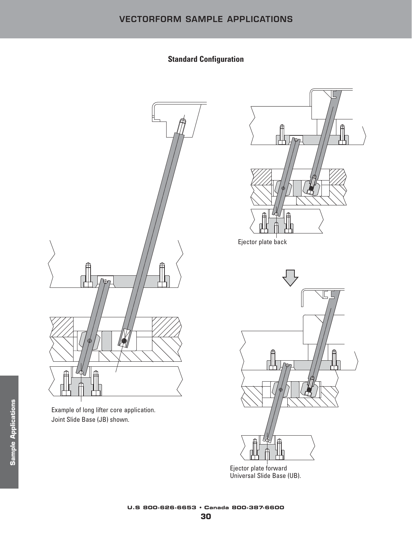# **Standard Configuration**



Example of long lifter core application. Joint Slide Base (JB) shown.





Ejector plate forward Universal Slide Base (UB).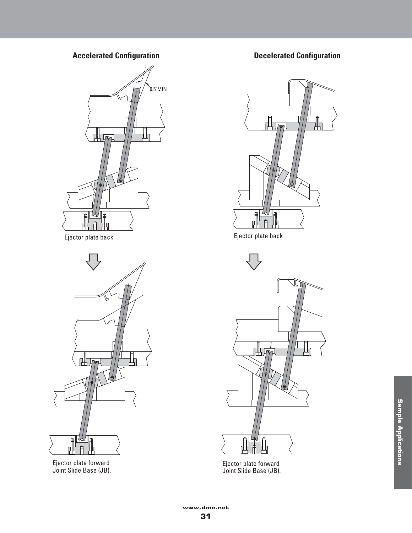



Ejector plate forward Joint Slide Base (JB).

# **Accelerated Configuration Configuration Decelerated Configuration**



Ejector plate back Ejector plate back



Ejector plate forward Joint Slide Base (JB).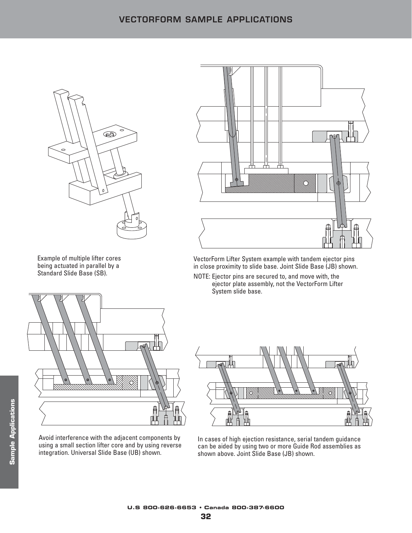

Example of multiple lifter cores being actuated in parallel by a Standard Slide Base (SB).



Avoid interference with the adjacent components by using a small section lifter core and by using reverse integration. Universal Slide Base (UB) shown.



VectorForm Lifter System example with tandem ejector pins in close proximity to slide base. Joint Slide Base (JB) shown.

NOTE: Ejector pins are secured to, and move with, the ejector plate assembly, not the VectorForm Lifter System slide base.



In cases of high ejection resistance, serial tandem guidance can be aided by using two or more Guide Rod assemblies as shown above. Joint Slide Base (JB) shown.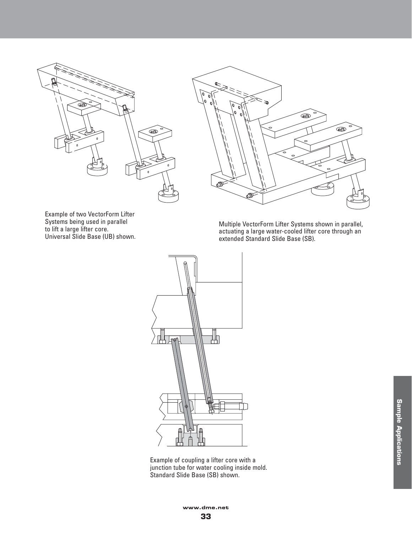



Example of two VectorForm Lifter Systems being used in parallel to lift a large lifter core. Universal Slide Base (UB) shown.

Multiple VectorForm Lifter Systems shown in parallel, actuating a large water-cooled lifter core through an extended Standard Slide Base (SB).



Example of coupling a lifter core with a junction tube for water cooling inside mold. Standard Slide Base (SB) shown.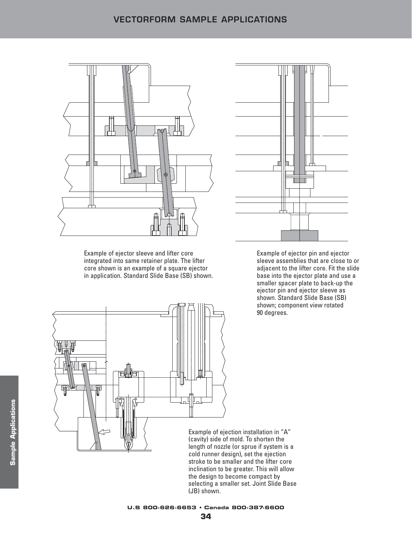

Example of ejector sleeve and lifter core integrated into same retainer plate. The lifter core shown is an example of a square ejector in application. Standard Slide Base (SB) shown.



Example of ejector pin and ejector sleeve assemblies that are close to or adjacent to the lifter core. Fit the slide base into the ejector plate and use a smaller spacer plate to back-up the ejector pin and ejector sleeve as shown. Standard Slide Base (SB) shown; component view rotated 90 degrees.



Example of ejection installation in "A" (cavity) side of mold. To shorten the length of nozzle (or sprue if system is a cold runner design), set the ejection stroke to be smaller and the lifter core inclination to be greater. This will allow the design to become compact by selecting a smaller set. Joint Slide Base (JB) shown.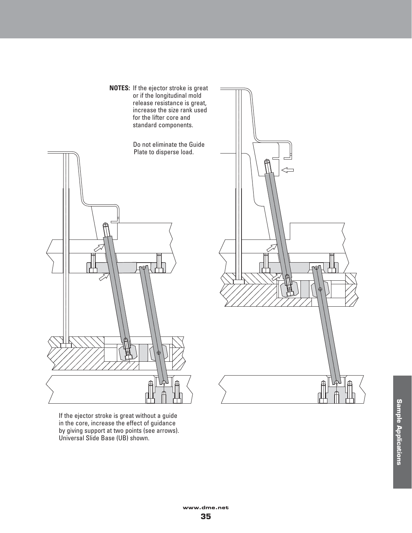**NOTES:** If the ejector stroke is great or if the longitudinal mold release resistance is great, increase the size rank used for the lifter core and standard components.

Do not eliminate the Guide Plate to disperse load.



If the ejector stroke is great without a guide in the core, increase the effect of guidance by giving support at two points (see arrows). Universal Slide Base (UB) shown.

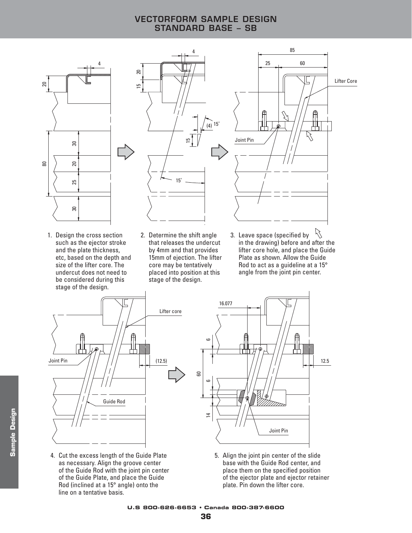# **VECTORFORM SAMPLE DESIGN STANDARD BASE – SB**



15 20

1. Design the cross section such as the ejector stroke and the plate thickness, etc, based on the depth and size of the lifter core. The undercut does not need to be considered during this stage of the design.



- 2. Determine the shift angle that releases the undercut by 4mm and that provides 15mm of ejection. The lifter core may be tentatively placed into position at this stage of the design.
- Ŋ 3. Leave space (specified by in the drawing) before and after the lifter core hole, and place the Guide Plate as shown. Allow the Guide Rod to act as a guideline at a 15° angle from the joint pin center.



4. Cut the excess length of the Guide Plate as necessary. Align the groove center of the Guide Rod with the joint pin center of the Guide Plate, and place the Guide Rod (inclined at a 15° angle) onto the line on a tentative basis.

**Sample Design**

**Sample Design** 



5. Align the joint pin center of the slide base with the Guide Rod center, and place them on the specified position of the ejector plate and ejector retainer plate. Pin down the lifter core.

**U.S 800-626-6653 • Canada 800-387-6600**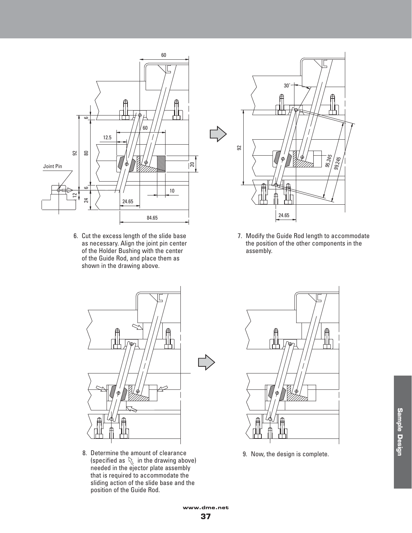

6. Cut the excess length of the slide base as necessary. Align the joint pin center of the Holder Bushing with the center of the Guide Rod, and place them as shown in the drawing above.



7. Modify the Guide Rod length to accommodate the position of the other components in the assembly.



8. Determine the amount of clearance 9. Now, the design is complete. (specified as  $\Diamond$  in the drawing above) needed in the ejector plate assembly that is required to accommodate the sliding action of the slide base and the position of the Guide Rod.

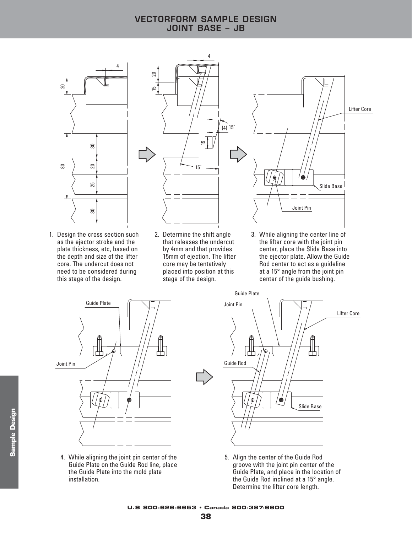# **VECTORFORM SAMPLE DESIGN JOINT BASE – JB**



1. Design the cross section such as the ejector stroke and the plate thickness, etc, based on the depth and size of the lifter core. The undercut does not need to be considered during this stage of the design.



- 2. Determine the shift angle that releases the undercut by 4mm and that provides 15mm of ejection. The lifter core may be tentatively placed into position at this stage of the design.
- 3. While aligning the center line of the lifter core with the joint pin center, place the Slide Base into the ejector plate. Allow the Guide Rod center to act as a guideline at a 15° angle from the joint pin center of the guide bushing.



4. While aligning the joint pin center of the Guide Plate on the Guide Rod line, place the Guide Plate into the mold plate installation.

**Sample Design**

**Sample Design** 



5. Align the center of the Guide Rod groove with the joint pin center of the Guide Plate, and place in the location of the Guide Rod inclined at a 15° angle. Determine the lifter core length.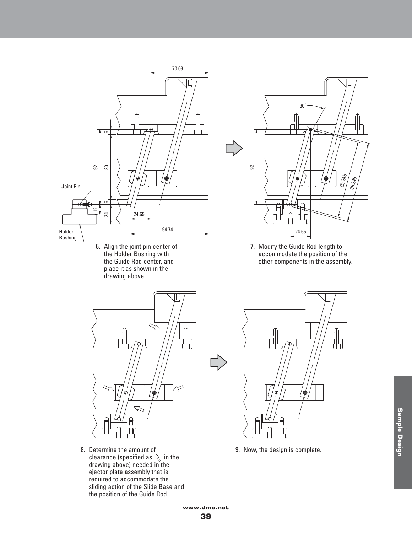

6. Align the joint pin center of the Holder Bushing with the Guide Rod center, and place it as shown in the drawing above.



7. Modify the Guide Rod length to accommodate the position of the other components in the assembly.



8. Determine the amount of clearance (specified as  $\mathbb R$  in the drawing above) needed in the ejector plate assembly that is required to accommodate the sliding action of the Slide Base and the position of the Guide Rod.



9. Now, the design is complete.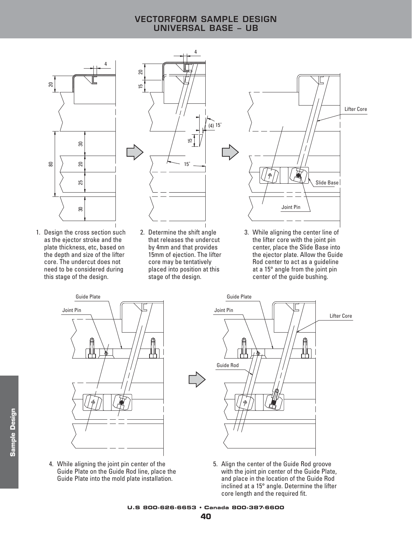# **VECTORFORM SAMPLE DESIGN UNIVERSAL BASE – UB**



1. Design the cross section such as the ejector stroke and the plate thickness, etc, based on the depth and size of the lifter core. The undercut does not need to be considered during this stage of the design.



2. Determine the shift angle that releases the undercut by 4mm and that provides 15mm of ejection. The lifter core may be tentatively placed into position at this stage of the design.



3. While aligning the center line of the lifter core with the joint pin center, place the Slide Base into the ejector plate. Allow the Guide Rod center to act as a guideline at a 15° angle from the joint pin center of the guide bushing.



4. While aligning the joint pin center of the Guide Plate on the Guide Rod line, place the Guide Plate into the mold plate installation.



5. Align the center of the Guide Rod groove with the joint pin center of the Guide Plate, and place in the location of the Guide Rod inclined at a 15° angle. Determine the lifter core length and the required fit.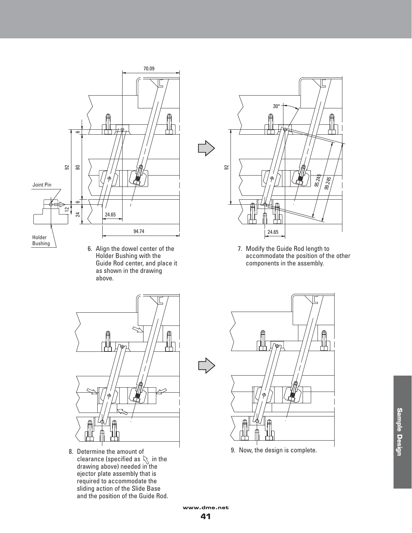

6. Align the dowel center of the Holder Bushing with the Guide Rod center, and place it as shown in the drawing above.



8. Determine the amount of clearance (specified as  $\mathbb{R}$  in the drawing above) needed in the ejector plate assembly that is required to accommodate the sliding action of the Slide Base and the position of the Guide Rod.



7. Modify the Guide Rod length to accommodate the position of the other components in the assembly.



9. Now, the design is complete.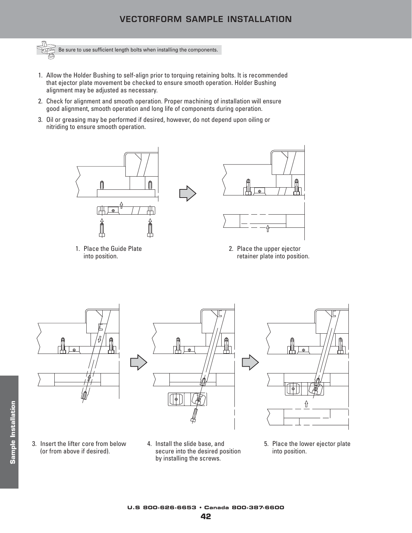# **VECTORFORM SAMPLE INSTALLATION**



- 1. Allow the Holder Bushing to self-align prior to torquing retaining bolts. It is recommended that ejector plate movement be checked to ensure smooth operation. Holder Bushing alignment may be adjusted as necessary.
- 2. Check for alignment and smooth operation. Proper machining of installation will ensure good alignment, smooth operation and long life of components during operation.
- 3. Oil or greasing may be performed if desired, however, do not depend upon oiling or nitriding to ensure smooth operation.



1. Place the Guide Plate into position.



2. Place the upper ejector retainer plate into position.







- 3. Insert the lifter core from below (or from above if desired).
- 4. Install the slide base, and secure into the desired position by installing the screws.
- 5. Place the lower ejector plate into position.

**U.S 800-626-6653 • Canada 800-387-6600**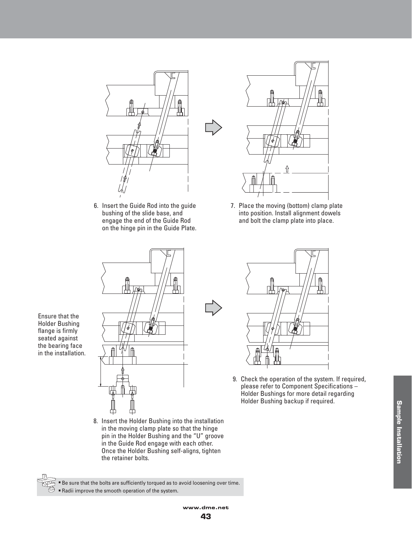

6. Insert the Guide Rod into the guide bushing of the slide base, and engage the end of the Guide Rod on the hinge pin in the Guide Plate.



7. Place the moving (bottom) clamp plate into position. Install alignment dowels and bolt the clamp plate into place.



Ensure that the Holder Bushing flange is firmly seated against

THES

8. Insert the Holder Bushing into the installation in the moving clamp plate so that the hinge pin in the Holder Bushing and the "U" groove in the Guide Rod engage with each other. Once the Holder Bushing self-aligns, tighten the retainer bolts.



9. Check the operation of the system. If required, please refer to Component Specifications – Holder Bushings for more detail regarding Holder Bushing backup if required.

■ Be sure that the bolts are sufficiently torqued as to avoid loosening over time.  $\mathfrak{S}$  **■** Radii improve the smooth operation of the system.

**Sample Installation Sample Installation**